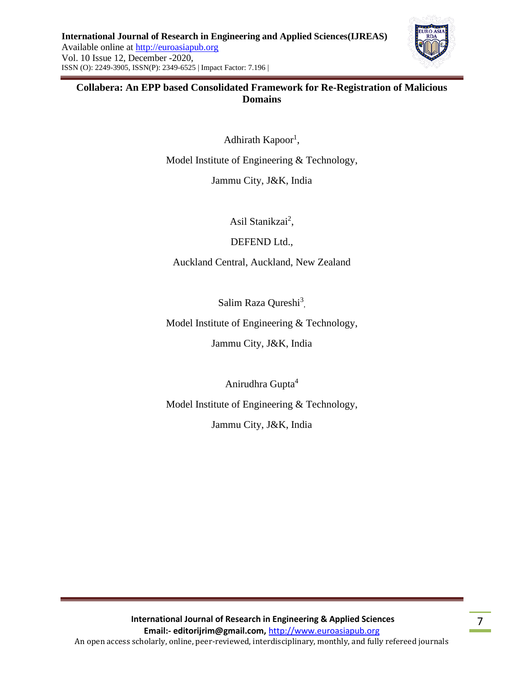

### **Collabera: An EPP based Consolidated Framework for Re-Registration of Malicious Domains**

Adhirath Kapoor<sup>1</sup>,

Model Institute of Engineering & Technology,

Jammu City, J&K, India

Asil Stanikzai<sup>2</sup>,

DEFEND Ltd.,

Auckland Central, Auckland, New Zealand

Salim Raza Qureshi<sup>3</sup>,

Model Institute of Engineering & Technology,

Jammu City, J&K, India

Anirudhra Gupta<sup>4</sup>

Model Institute of Engineering & Technology,

Jammu City, J&K, India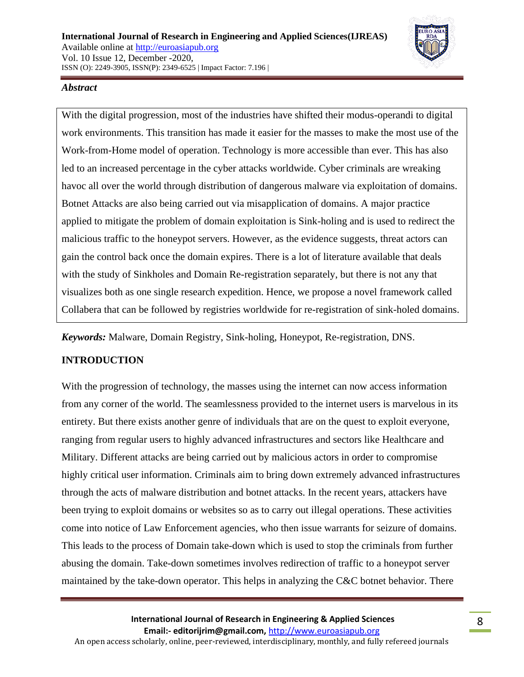

### *Abstract*

With the digital progression, most of the industries have shifted their modus-operandi to digital work environments. This transition has made it easier for the masses to make the most use of the Work-from-Home model of operation. Technology is more accessible than ever. This has also led to an increased percentage in the cyber attacks worldwide. Cyber criminals are wreaking havoc all over the world through distribution of dangerous malware via exploitation of domains. Botnet Attacks are also being carried out via misapplication of domains. A major practice applied to mitigate the problem of domain exploitation is Sink-holing and is used to redirect the malicious traffic to the honeypot servers. However, as the evidence suggests, threat actors can gain the control back once the domain expires. There is a lot of literature available that deals with the study of Sinkholes and Domain Re-registration separately, but there is not any that visualizes both as one single research expedition. Hence, we propose a novel framework called Collabera that can be followed by registries worldwide for re-registration of sink-holed domains.

*Keywords:* Malware, Domain Registry, Sink-holing, Honeypot, Re-registration, DNS.

# **INTRODUCTION**

With the progression of technology, the masses using the internet can now access information from any corner of the world. The seamlessness provided to the internet users is marvelous in its entirety. But there exists another genre of individuals that are on the quest to exploit everyone, ranging from regular users to highly advanced infrastructures and sectors like Healthcare and Military. Different attacks are being carried out by malicious actors in order to compromise highly critical user information. Criminals aim to bring down extremely advanced infrastructures through the acts of malware distribution and botnet attacks. In the recent years, attackers have been trying to exploit domains or websites so as to carry out illegal operations. These activities come into notice of Law Enforcement agencies, who then issue warrants for seizure of domains. This leads to the process of Domain take-down which is used to stop the criminals from further abusing the domain. Take-down sometimes involves redirection of traffic to a honeypot server maintained by the take-down operator. This helps in analyzing the C&C botnet behavior. There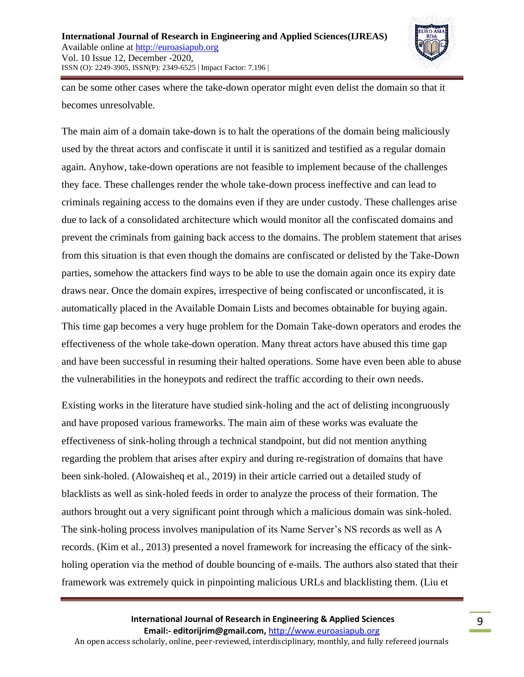

can be some other cases where the take-down operator might even delist the domain so that it becomes unresolvable.

The main aim of a domain take-down is to halt the operations of the domain being maliciously used by the threat actors and confiscate it until it is sanitized and testified as a regular domain again. Anyhow, take-down operations are not feasible to implement because of the challenges they face. These challenges render the whole take-down process ineffective and can lead to criminals regaining access to the domains even if they are under custody. These challenges arise due to lack of a consolidated architecture which would monitor all the confiscated domains and prevent the criminals from gaining back access to the domains. The problem statement that arises from this situation is that even though the domains are confiscated or delisted by the Take-Down parties, somehow the attackers find ways to be able to use the domain again once its expiry date draws near. Once the domain expires, irrespective of being confiscated or unconfiscated, it is automatically placed in the Available Domain Lists and becomes obtainable for buying again. This time gap becomes a very huge problem for the Domain Take-down operators and erodes the effectiveness of the whole take-down operation. Many threat actors have abused this time gap and have been successful in resuming their halted operations. Some have even been able to abuse the vulnerabilities in the honeypots and redirect the traffic according to their own needs.

Existing works in the literature have studied sink-holing and the act of delisting incongruously and have proposed various frameworks. The main aim of these works was evaluate the effectiveness of sink-holing through a technical standpoint, but did not mention anything regarding the problem that arises after expiry and during re-registration of domains that have been sink-holed. (Alowaisheq et al., 2019) in their article carried out a detailed study of blacklists as well as sink-holed feeds in order to analyze the process of their formation. The authors brought out a very significant point through which a malicious domain was sink-holed. The sink-holing process involves manipulation of its Name Server's NS records as well as A records. (Kim et al., 2013) presented a novel framework for increasing the efficacy of the sinkholing operation via the method of double bouncing of e-mails. The authors also stated that their framework was extremely quick in pinpointing malicious URLs and blacklisting them. (Liu et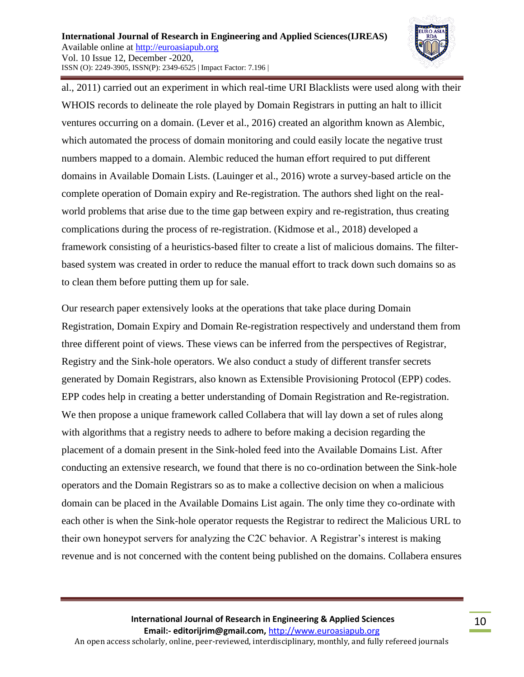

al., 2011) carried out an experiment in which real-time URI Blacklists were used along with their WHOIS records to delineate the role played by Domain Registrars in putting an halt to illicit ventures occurring on a domain. (Lever et al., 2016) created an algorithm known as Alembic, which automated the process of domain monitoring and could easily locate the negative trust numbers mapped to a domain. Alembic reduced the human effort required to put different domains in Available Domain Lists. (Lauinger et al., 2016) wrote a survey-based article on the complete operation of Domain expiry and Re-registration. The authors shed light on the realworld problems that arise due to the time gap between expiry and re-registration, thus creating complications during the process of re-registration. (Kidmose et al., 2018) developed a framework consisting of a heuristics-based filter to create a list of malicious domains. The filterbased system was created in order to reduce the manual effort to track down such domains so as to clean them before putting them up for sale.

Our research paper extensively looks at the operations that take place during Domain Registration, Domain Expiry and Domain Re-registration respectively and understand them from three different point of views. These views can be inferred from the perspectives of Registrar, Registry and the Sink-hole operators. We also conduct a study of different transfer secrets generated by Domain Registrars, also known as Extensible Provisioning Protocol (EPP) codes. EPP codes help in creating a better understanding of Domain Registration and Re-registration. We then propose a unique framework called Collabera that will lay down a set of rules along with algorithms that a registry needs to adhere to before making a decision regarding the placement of a domain present in the Sink-holed feed into the Available Domains List. After conducting an extensive research, we found that there is no co-ordination between the Sink-hole operators and the Domain Registrars so as to make a collective decision on when a malicious domain can be placed in the Available Domains List again. The only time they co-ordinate with each other is when the Sink-hole operator requests the Registrar to redirect the Malicious URL to their own honeypot servers for analyzing the C2C behavior. A Registrar's interest is making revenue and is not concerned with the content being published on the domains. Collabera ensures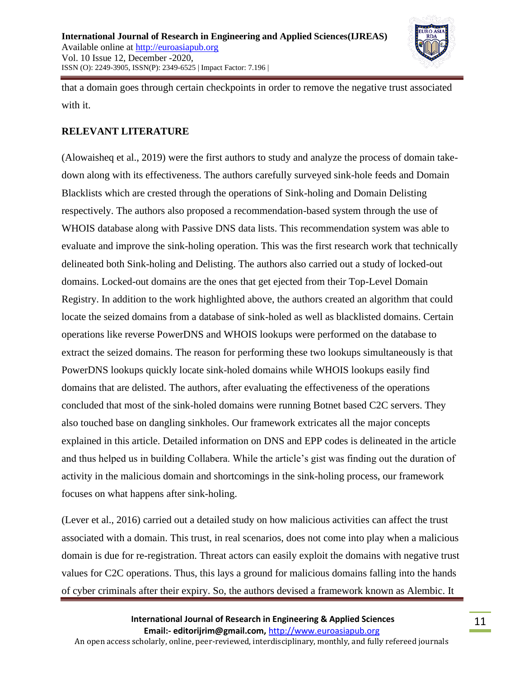

that a domain goes through certain checkpoints in order to remove the negative trust associated with it.

# **RELEVANT LITERATURE**

(Alowaisheq et al., 2019) were the first authors to study and analyze the process of domain takedown along with its effectiveness. The authors carefully surveyed sink-hole feeds and Domain Blacklists which are crested through the operations of Sink-holing and Domain Delisting respectively. The authors also proposed a recommendation-based system through the use of WHOIS database along with Passive DNS data lists. This recommendation system was able to evaluate and improve the sink-holing operation. This was the first research work that technically delineated both Sink-holing and Delisting. The authors also carried out a study of locked-out domains. Locked-out domains are the ones that get ejected from their Top-Level Domain Registry. In addition to the work highlighted above, the authors created an algorithm that could locate the seized domains from a database of sink-holed as well as blacklisted domains. Certain operations like reverse PowerDNS and WHOIS lookups were performed on the database to extract the seized domains. The reason for performing these two lookups simultaneously is that PowerDNS lookups quickly locate sink-holed domains while WHOIS lookups easily find domains that are delisted. The authors, after evaluating the effectiveness of the operations concluded that most of the sink-holed domains were running Botnet based C2C servers. They also touched base on dangling sinkholes. Our framework extricates all the major concepts explained in this article. Detailed information on DNS and EPP codes is delineated in the article and thus helped us in building Collabera. While the article's gist was finding out the duration of activity in the malicious domain and shortcomings in the sink-holing process, our framework focuses on what happens after sink-holing.

(Lever et al., 2016) carried out a detailed study on how malicious activities can affect the trust associated with a domain. This trust, in real scenarios, does not come into play when a malicious domain is due for re-registration. Threat actors can easily exploit the domains with negative trust values for C2C operations. Thus, this lays a ground for malicious domains falling into the hands of cyber criminals after their expiry. So, the authors devised a framework known as Alembic. It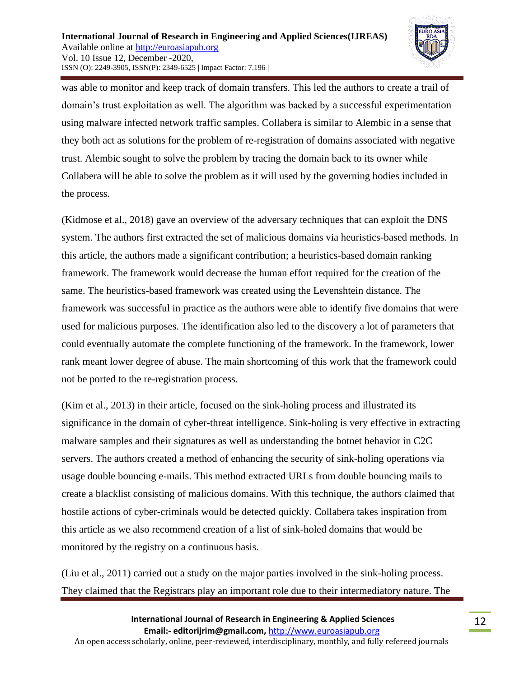

was able to monitor and keep track of domain transfers. This led the authors to create a trail of domain's trust exploitation as well. The algorithm was backed by a successful experimentation using malware infected network traffic samples. Collabera is similar to Alembic in a sense that they both act as solutions for the problem of re-registration of domains associated with negative trust. Alembic sought to solve the problem by tracing the domain back to its owner while Collabera will be able to solve the problem as it will used by the governing bodies included in the process.

(Kidmose et al., 2018) gave an overview of the adversary techniques that can exploit the DNS system. The authors first extracted the set of malicious domains via heuristics-based methods. In this article, the authors made a significant contribution; a heuristics-based domain ranking framework. The framework would decrease the human effort required for the creation of the same. The heuristics-based framework was created using the Levenshtein distance. The framework was successful in practice as the authors were able to identify five domains that were used for malicious purposes. The identification also led to the discovery a lot of parameters that could eventually automate the complete functioning of the framework. In the framework, lower rank meant lower degree of abuse. The main shortcoming of this work that the framework could not be ported to the re-registration process.

(Kim et al., 2013) in their article, focused on the sink-holing process and illustrated its significance in the domain of cyber-threat intelligence. Sink-holing is very effective in extracting malware samples and their signatures as well as understanding the botnet behavior in C2C servers. The authors created a method of enhancing the security of sink-holing operations via usage double bouncing e-mails. This method extracted URLs from double bouncing mails to create a blacklist consisting of malicious domains. With this technique, the authors claimed that hostile actions of cyber-criminals would be detected quickly. Collabera takes inspiration from this article as we also recommend creation of a list of sink-holed domains that would be monitored by the registry on a continuous basis.

(Liu et al., 2011) carried out a study on the major parties involved in the sink-holing process. They claimed that the Registrars play an important role due to their intermediatory nature. The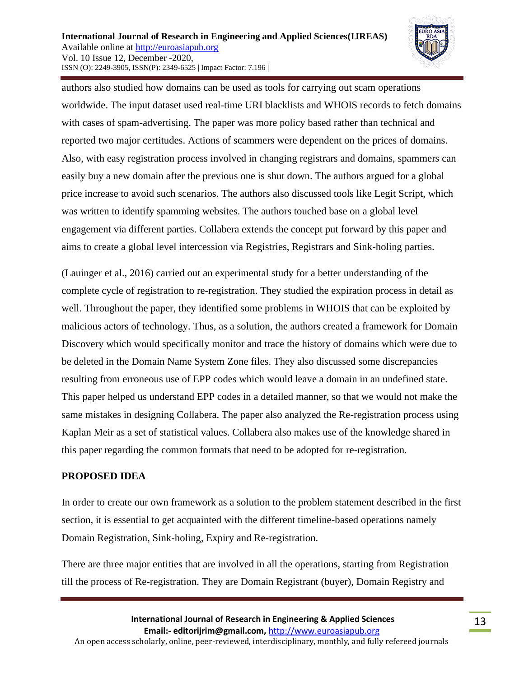

authors also studied how domains can be used as tools for carrying out scam operations worldwide. The input dataset used real-time URI blacklists and WHOIS records to fetch domains with cases of spam-advertising. The paper was more policy based rather than technical and reported two major certitudes. Actions of scammers were dependent on the prices of domains. Also, with easy registration process involved in changing registrars and domains, spammers can easily buy a new domain after the previous one is shut down. The authors argued for a global price increase to avoid such scenarios. The authors also discussed tools like Legit Script, which was written to identify spamming websites. The authors touched base on a global level engagement via different parties. Collabera extends the concept put forward by this paper and aims to create a global level intercession via Registries, Registrars and Sink-holing parties.

(Lauinger et al., 2016) carried out an experimental study for a better understanding of the complete cycle of registration to re-registration. They studied the expiration process in detail as well. Throughout the paper, they identified some problems in WHOIS that can be exploited by malicious actors of technology. Thus, as a solution, the authors created a framework for Domain Discovery which would specifically monitor and trace the history of domains which were due to be deleted in the Domain Name System Zone files. They also discussed some discrepancies resulting from erroneous use of EPP codes which would leave a domain in an undefined state. This paper helped us understand EPP codes in a detailed manner, so that we would not make the same mistakes in designing Collabera. The paper also analyzed the Re-registration process using Kaplan Meir as a set of statistical values. Collabera also makes use of the knowledge shared in this paper regarding the common formats that need to be adopted for re-registration.

### **PROPOSED IDEA**

In order to create our own framework as a solution to the problem statement described in the first section, it is essential to get acquainted with the different timeline-based operations namely Domain Registration, Sink-holing, Expiry and Re-registration.

There are three major entities that are involved in all the operations, starting from Registration till the process of Re-registration. They are Domain Registrant (buyer), Domain Registry and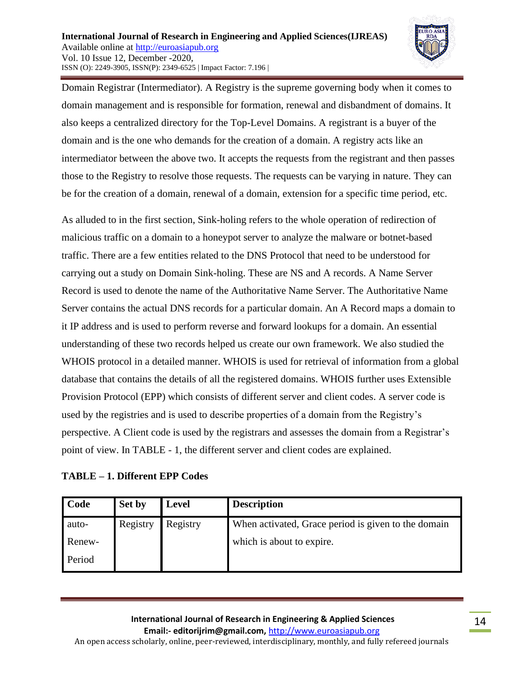

Domain Registrar (Intermediator). A Registry is the supreme governing body when it comes to domain management and is responsible for formation, renewal and disbandment of domains. It also keeps a centralized directory for the Top-Level Domains. A registrant is a buyer of the domain and is the one who demands for the creation of a domain. A registry acts like an intermediator between the above two. It accepts the requests from the registrant and then passes those to the Registry to resolve those requests. The requests can be varying in nature. They can be for the creation of a domain, renewal of a domain, extension for a specific time period, etc.

As alluded to in the first section, Sink-holing refers to the whole operation of redirection of malicious traffic on a domain to a honeypot server to analyze the malware or botnet-based traffic. There are a few entities related to the DNS Protocol that need to be understood for carrying out a study on Domain Sink-holing. These are NS and A records. A Name Server Record is used to denote the name of the Authoritative Name Server. The Authoritative Name Server contains the actual DNS records for a particular domain. An A Record maps a domain to it IP address and is used to perform reverse and forward lookups for a domain. An essential understanding of these two records helped us create our own framework. We also studied the WHOIS protocol in a detailed manner. WHOIS is used for retrieval of information from a global database that contains the details of all the registered domains. WHOIS further uses Extensible Provision Protocol (EPP) which consists of different server and client codes. A server code is used by the registries and is used to describe properties of a domain from the Registry's perspective. A Client code is used by the registrars and assesses the domain from a Registrar's point of view. In TABLE - 1, the different server and client codes are explained.

|  |  |  |  | TABLE – 1. Different EPP Codes |  |  |
|--|--|--|--|--------------------------------|--|--|
|--|--|--|--|--------------------------------|--|--|

| Code   | Set by   | <b>Level</b> | <b>Description</b>                                  |
|--------|----------|--------------|-----------------------------------------------------|
| auto-  | Registry | Registry     | When activated, Grace period is given to the domain |
| Renew- |          |              | which is about to expire.                           |
| Period |          |              |                                                     |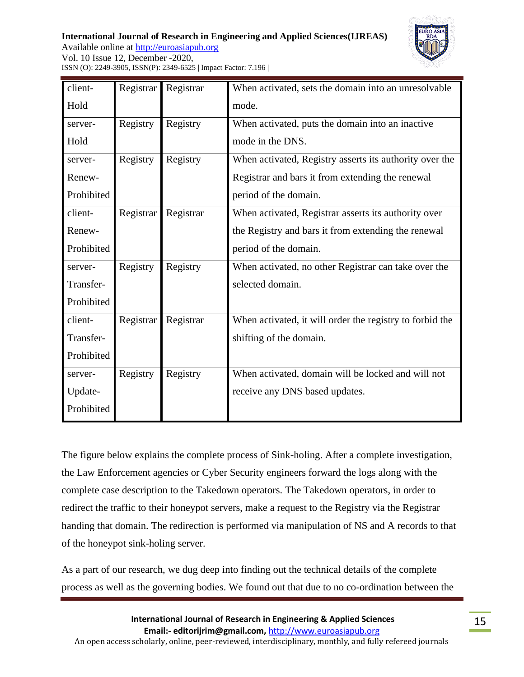**International Journal of Research in Engineering and Applied Sciences(IJREAS)** Available online at [http://euroasiapub.org](http://euroasiapub.org/journals.php)  Vol. 10 Issue 12, December -2020, ISSN (O): 2249-3905, ISSN(P): 2349-6525 | Impact Factor: 7.196 |



| client-    | Registrar | Registrar | When activated, sets the domain into an unresolvable     |
|------------|-----------|-----------|----------------------------------------------------------|
| Hold       |           |           | mode.                                                    |
| server-    | Registry  | Registry  | When activated, puts the domain into an inactive         |
| Hold       |           |           | mode in the DNS.                                         |
| server-    | Registry  | Registry  | When activated, Registry asserts its authority over the  |
| Renew-     |           |           | Registrar and bars it from extending the renewal         |
| Prohibited |           |           | period of the domain.                                    |
| client-    | Registrar | Registrar | When activated, Registrar asserts its authority over     |
| Renew-     |           |           | the Registry and bars it from extending the renewal      |
| Prohibited |           |           | period of the domain.                                    |
| server-    | Registry  | Registry  | When activated, no other Registrar can take over the     |
| Transfer-  |           |           | selected domain.                                         |
| Prohibited |           |           |                                                          |
| client-    | Registrar | Registrar | When activated, it will order the registry to forbid the |
| Transfer-  |           |           | shifting of the domain.                                  |
| Prohibited |           |           |                                                          |
| server-    | Registry  | Registry  | When activated, domain will be locked and will not       |
| Update-    |           |           | receive any DNS based updates.                           |
| Prohibited |           |           |                                                          |

The figure below explains the complete process of Sink-holing. After a complete investigation, the Law Enforcement agencies or Cyber Security engineers forward the logs along with the complete case description to the Takedown operators. The Takedown operators, in order to redirect the traffic to their honeypot servers, make a request to the Registry via the Registrar handing that domain. The redirection is performed via manipulation of NS and A records to that of the honeypot sink-holing server.

As a part of our research, we dug deep into finding out the technical details of the complete process as well as the governing bodies. We found out that due to no co-ordination between the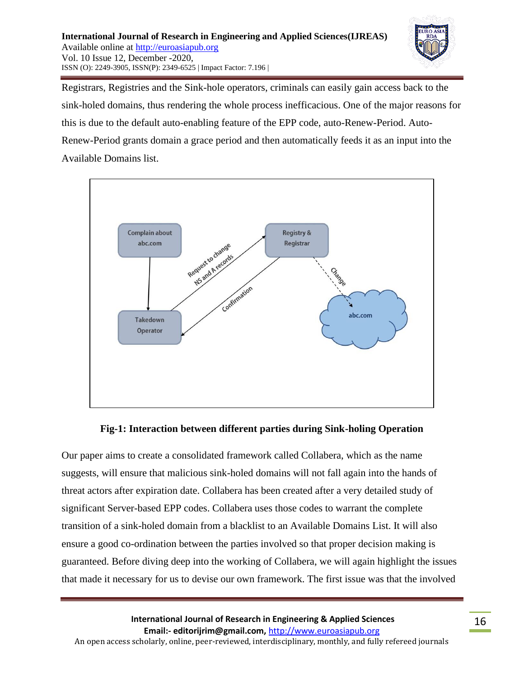

Registrars, Registries and the Sink-hole operators, criminals can easily gain access back to the sink-holed domains, thus rendering the whole process inefficacious. One of the major reasons for this is due to the default auto-enabling feature of the EPP code, auto-Renew-Period. Auto-Renew-Period grants domain a grace period and then automatically feeds it as an input into the Available Domains list.



### **Fig-1: Interaction between different parties during Sink-holing Operation**

Our paper aims to create a consolidated framework called Collabera, which as the name suggests, will ensure that malicious sink-holed domains will not fall again into the hands of threat actors after expiration date. Collabera has been created after a very detailed study of significant Server-based EPP codes. Collabera uses those codes to warrant the complete transition of a sink-holed domain from a blacklist to an Available Domains List. It will also ensure a good co-ordination between the parties involved so that proper decision making is guaranteed. Before diving deep into the working of Collabera, we will again highlight the issues that made it necessary for us to devise our own framework. The first issue was that the involved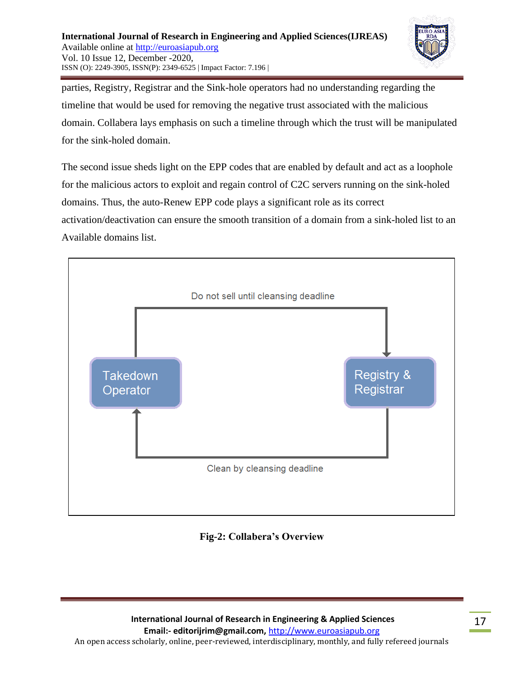

parties, Registry, Registrar and the Sink-hole operators had no understanding regarding the timeline that would be used for removing the negative trust associated with the malicious domain. Collabera lays emphasis on such a timeline through which the trust will be manipulated for the sink-holed domain.

The second issue sheds light on the EPP codes that are enabled by default and act as a loophole for the malicious actors to exploit and regain control of C2C servers running on the sink-holed domains. Thus, the auto-Renew EPP code plays a significant role as its correct activation/deactivation can ensure the smooth transition of a domain from a sink-holed list to an Available domains list.



**Fig-2: Collabera's Overview**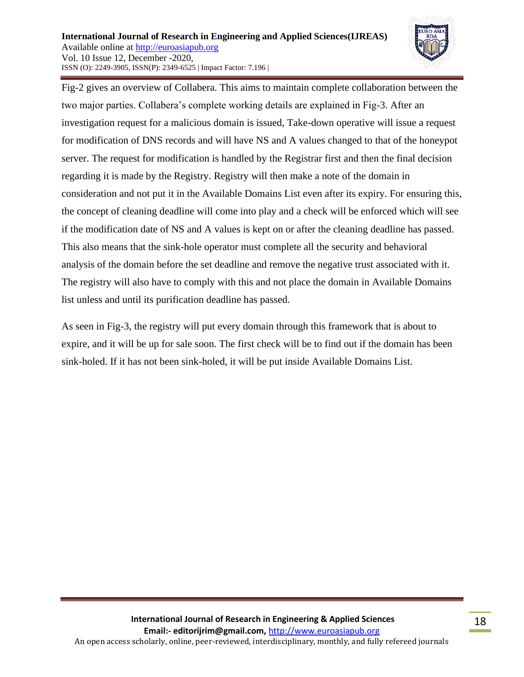

Fig-2 gives an overview of Collabera. This aims to maintain complete collaboration between the two major parties. Collabera's complete working details are explained in Fig-3. After an investigation request for a malicious domain is issued, Take-down operative will issue a request for modification of DNS records and will have NS and A values changed to that of the honeypot server. The request for modification is handled by the Registrar first and then the final decision regarding it is made by the Registry. Registry will then make a note of the domain in consideration and not put it in the Available Domains List even after its expiry. For ensuring this, the concept of cleaning deadline will come into play and a check will be enforced which will see if the modification date of NS and A values is kept on or after the cleaning deadline has passed. This also means that the sink-hole operator must complete all the security and behavioral analysis of the domain before the set deadline and remove the negative trust associated with it. The registry will also have to comply with this and not place the domain in Available Domains list unless and until its purification deadline has passed.

As seen in Fig-3, the registry will put every domain through this framework that is about to expire, and it will be up for sale soon. The first check will be to find out if the domain has been sink-holed. If it has not been sink-holed, it will be put inside Available Domains List.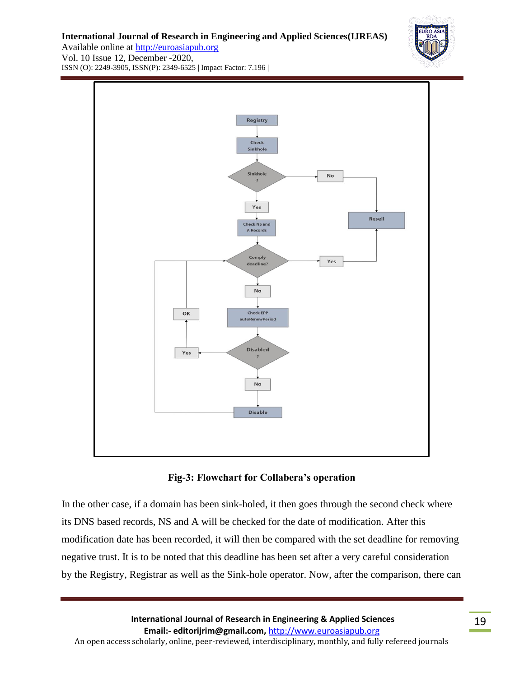**International Journal of Research in Engineering and Applied Sciences(IJREAS)**



Available online at [http://euroasiapub.org](http://euroasiapub.org/journals.php)  Vol. 10 Issue 12, December -2020, ISSN (O): 2249-3905, ISSN(P): 2349-6525 | Impact Factor: 7.196 |





In the other case, if a domain has been sink-holed, it then goes through the second check where its DNS based records, NS and A will be checked for the date of modification. After this modification date has been recorded, it will then be compared with the set deadline for removing negative trust. It is to be noted that this deadline has been set after a very careful consideration by the Registry, Registrar as well as the Sink-hole operator. Now, after the comparison, there can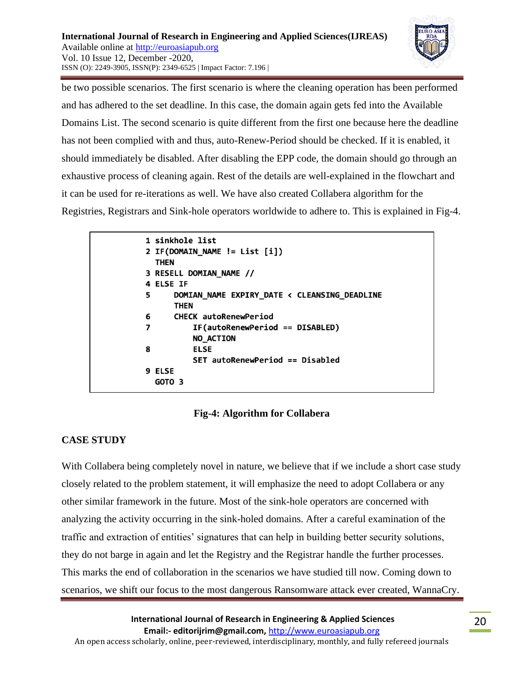

be two possible scenarios. The first scenario is where the cleaning operation has been performed and has adhered to the set deadline. In this case, the domain again gets fed into the Available Domains List. The second scenario is quite different from the first one because here the deadline has not been complied with and thus, auto-Renew-Period should be checked. If it is enabled, it should immediately be disabled. After disabling the EPP code, the domain should go through an exhaustive process of cleaning again. Rest of the details are well-explained in the flowchart and it can be used for re-iterations as well. We have also created Collabera algorithm for the Registries, Registrars and Sink-hole operators worldwide to adhere to. This is explained in Fig-4.

```
1 sinkhole list
2 IF(DOMAIN_NAME != List [i])
  THEN
3 RESELL DOMIAN_NAME //
4 ELSE IF
5
      DOMIAN_NAME EXPIRY_DATE < CLEANSING_DEADLINE
      THEN
      CHECK autoRenewPeriod
6
           IF(autoRenewPeriod == DISABLED)
\overline{\mathbf{z}}NO ACTION
8
           ELSE
           SET autoRenewPeriod == Disabled
9 ELSE
  GOTO<sub>3</sub>
```
# **Fig-4: Algorithm for Collabera**

### **CASE STUDY**

With Collabera being completely novel in nature, we believe that if we include a short case study closely related to the problem statement, it will emphasize the need to adopt Collabera or any other similar framework in the future. Most of the sink-hole operators are concerned with analyzing the activity occurring in the sink-holed domains. After a careful examination of the traffic and extraction of entities' signatures that can help in building better security solutions, they do not barge in again and let the Registry and the Registrar handle the further processes. This marks the end of collaboration in the scenarios we have studied till now. Coming down to scenarios, we shift our focus to the most dangerous Ransomware attack ever created, WannaCry.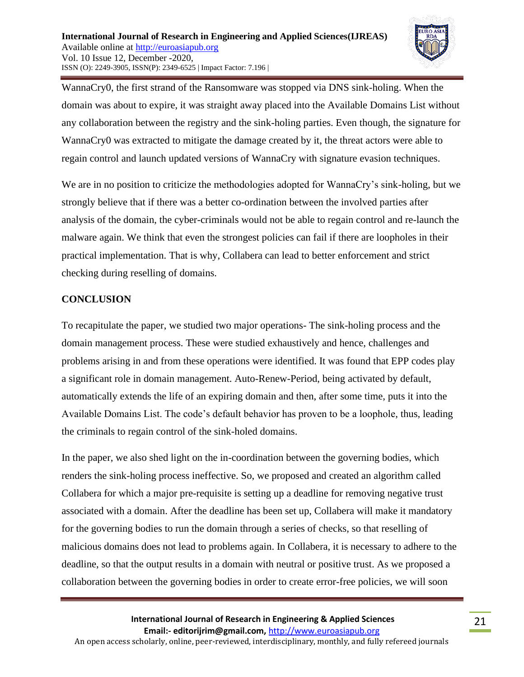

WannaCry0, the first strand of the Ransomware was stopped via DNS sink-holing. When the domain was about to expire, it was straight away placed into the Available Domains List without any collaboration between the registry and the sink-holing parties. Even though, the signature for WannaCry0 was extracted to mitigate the damage created by it, the threat actors were able to regain control and launch updated versions of WannaCry with signature evasion techniques.

We are in no position to criticize the methodologies adopted for WannaCry's sink-holing, but we strongly believe that if there was a better co-ordination between the involved parties after analysis of the domain, the cyber-criminals would not be able to regain control and re-launch the malware again. We think that even the strongest policies can fail if there are loopholes in their practical implementation. That is why, Collabera can lead to better enforcement and strict checking during reselling of domains.

#### **CONCLUSION**

To recapitulate the paper, we studied two major operations- The sink-holing process and the domain management process. These were studied exhaustively and hence, challenges and problems arising in and from these operations were identified. It was found that EPP codes play a significant role in domain management. Auto-Renew-Period, being activated by default, automatically extends the life of an expiring domain and then, after some time, puts it into the Available Domains List. The code's default behavior has proven to be a loophole, thus, leading the criminals to regain control of the sink-holed domains.

In the paper, we also shed light on the in-coordination between the governing bodies, which renders the sink-holing process ineffective. So, we proposed and created an algorithm called Collabera for which a major pre-requisite is setting up a deadline for removing negative trust associated with a domain. After the deadline has been set up, Collabera will make it mandatory for the governing bodies to run the domain through a series of checks, so that reselling of malicious domains does not lead to problems again. In Collabera, it is necessary to adhere to the deadline, so that the output results in a domain with neutral or positive trust. As we proposed a collaboration between the governing bodies in order to create error-free policies, we will soon